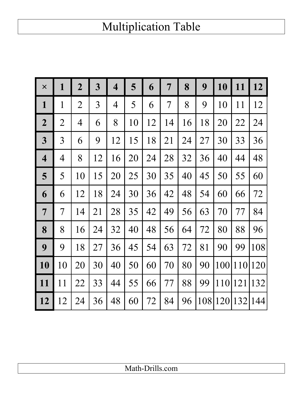## Multiplication Table

| $\times$                | $\mathbf{1}$   | $\boldsymbol{2}$ | $\overline{\mathbf{3}}$ | 4              | 5  | 6  | 7              | 8  | 9   | 10  | 11  | 12      |
|-------------------------|----------------|------------------|-------------------------|----------------|----|----|----------------|----|-----|-----|-----|---------|
| $\mathbf{1}$            | $\mathbf{1}$   | $\overline{2}$   | 3                       | $\overline{4}$ | 5  | 6  | $\overline{7}$ | 8  | 9   | 10  | 11  | 12      |
| $\overline{2}$          | $\overline{2}$ | 4                | 6                       | 8              | 10 | 12 | 14             | 16 | 18  | 20  | 22  | 24      |
| $\overline{\mathbf{3}}$ | 3              | 6                | 9                       | 12             | 15 | 18 | 21             | 24 | 27  | 30  | 33  | 36      |
| $\overline{\mathbf{4}}$ | 4              | 8                | 12                      | 16             | 20 | 24 | 28             | 32 | 36  | 40  | 44  | 48      |
| 5                       | 5              | 10               | 15                      | 20             | 25 | 30 | 35             | 40 | 45  | 50  | 55  | 60      |
| 6                       | 6              | 12               | 18                      | 24             | 30 | 36 | 42             | 48 | 54  | 60  | 66  | 72      |
| $\overline{7}$          | 7              | 14               | 21                      | 28             | 35 | 42 | 49             | 56 | 63  | 70  | 77  | 84      |
| 8                       | 8              | 16               | 24                      | 32             | 40 | 48 | 56             | 64 | 72  | 80  | 88  | 96      |
| 9                       | 9              | 18               | 27                      | 36             | 45 | 54 | 63             | 72 | 81  | 90  | 99  | 108     |
| 10                      | 10             | 20               | 30                      | 40             | 50 | 60 | 70             | 80 | 90  | 100 |     | 110 120 |
| 11                      | 11             | 22               | 33                      | 44             | 55 | 66 | 77             | 88 | 99  | 110 | 121 | 132     |
| 12                      | 12             | 24               | 36                      | 48             | 60 | 72 | 84             | 96 | 108 | 120 | 132 | 144     |